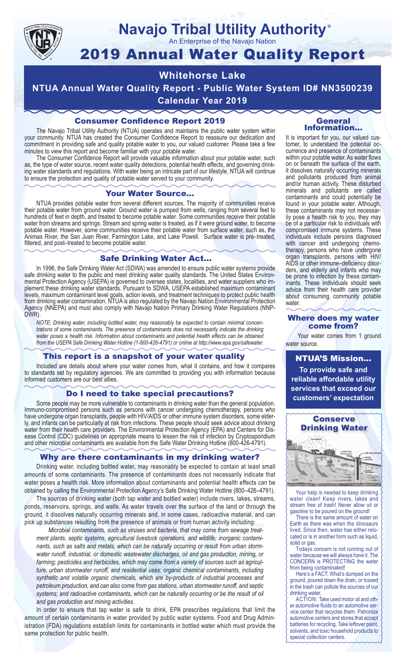

## **Navajo Tribal Utility Authority** ®

An Enterprise of the Navajo Nation

# 2019 Annual Water Quality Report

## **Whitehorse Lake**

**NTUA Annual Water Quality Report - Public Water System ID# NN3500239 Calendar Year 2019**

## Consumer Confidence Report 2019

The Navajo Tribal Utility Authority (NTUA) operates and maintains the public water system within your community. NTUA has created the Consumer Confidence Report to reassure our dedication and commitment in providing safe and quality potable water to you, our valued customer. Please take a few minutes to view this report and become familiar with your potable water.

The Consumer Confidence Report will provide valuable information about your potable water, such as, the type of water source, recent water quality detections, potential health effects, and governing drinking water standards and regulations. With water being an intricate part of our lifestyle, NTUA will continue to ensure the protection and quality of potable water served to your community.

#### Your Water Source…

NTUA provides potable water from several different sources. The majority of communities receive their potable water from ground water. Ground water is pumped from wells, ranging from several feet to hundreds of feet in depth, and treated to become potable water. Some communities receive their potable water from streams and springs. Stream and spring water is treated, as if it were ground water, to become potable water. However, some communities receive their potable water from surface water, such as, the Animas River, the San Juan River, Farmington Lake, and Lake Powell. Surface water is pre–treated, filtered, and post–treated to become potable water.

#### Safe Drinking Water Act…

In 1996, the Safe Drinking Water Act (SDWA) was amended to ensure public water systems provide safe drinking water to the public and meet drinking water quality standards. The United States Environmental Protection Agency (USEPA) is governed to oversee states, localities, and water suppliers who implement these drinking water standards. Pursuant to SDWA, USEPA established maximum contaminant levels, maximum contaminant level goals, action levels, and treatment techniques to protect public health from drinking water contamination. NTUA is also regulated by the Navajo Nation Environmental Protection Agency (NNEPA) and must also comply with Navajo Nation Primary Drinking Water Regulations (NNP-DWR)

*NOTE: Drinking water, including bottled water, may reasonably be expected to contain minimal concentrations of some contaminants. The presence of contaminants does not necessarily indicate the drinking water poses a health risk. Information about contaminants and potential health effects can be obtained from the USEPA Safe Drinking Water Hotline (1-800-426-4791) or online at http://www.epa.gov/safewater.*

## This report is a snapshot of your water quality

Included are details about where your water comes from, what it contains, and how it compares to standards set by regulatory agencies. We are committed to providing you with information because informed customers are our best allies.

#### Do I need to take special precautions?

Some people may be more vulnerable to contaminants in drinking water than the general population. Immuno-compromised persons such as persons with cancer undergoing chemotherapy, persons who have undergone organ transplants, people with HIV/AIDS or other immune system disorders, some elderly, and infants can be particularly at risk from infections. These people should seek advice about drinking water from their health care providers. The Environmental Protection Agency (EPA) and Centers for Disease Control (CDC) guidelines on appropriate means to lessen the risk of infection by Cryptosporidium and other microbial contaminants are available from the Safe Water Drinking Hotline (800-426-4791).

## Why are there contaminants in my drinking water?

Drinking water, including bottled water, may reasonably be expected to contain at least small amounts of some contaminants. The presence of contaminants does not necessarily indicate that water poses a health risk. More information about contaminants and potential health effects can be obtained by calling the Environmental Protection Agency's Safe Drinking Water Hotline (800–426–4791).

The sources of drinking water (both tap water and bottled water) include rivers, lakes, streams, ponds, reservoirs, springs, and wells. As water travels over the surface of the land or through the ground, it dissolves naturally occurring minerals and, in some cases, radioactive material, and can pick up substances resulting from the presence of animals or from human activity including:

*Microbial contaminants, such as viruses and bacteria, that may come from sewage treatment plants, septic systems, agricultural livestock operations, and wildlife; inorganic contaminants, such as salts and metals, which can be naturally occurring or result from urban stormwater runoff, industrial, or domestic wastewater discharges, oil and gas production, mining, or farming; pesticides and herbicides, which may come from a variety of sources such as agriculture, urban stormwater runoff, and residential uses; organic chemical contaminants, including synthetic and volatile organic chemicals, which are by-products of industrial processes and petroleum production, and can also come from gas stations, urban stormwater runoff, and septic systems; and radioactive contaminants, which can be naturally occurring or be the result of oil and gas production and mining activities.*

In order to ensure that tap water is safe to drink, EPA prescribes regulations that limit the amount of certain contaminants in water provided by public water systems. Food and Drug Administration (FDA) regulations establish limits for contaminants in bottled water which must provide the same protection for public health.

#### General Information…

It is important for you, our valued customer, to understand the potential occurrence and presence of contaminants within your potable water. As water flows on or beneath the surface of the earth, it dissolves naturally occurring minerals and pollutants produced from animal and/or human activity. These disturbed minerals and pollutants are called contaminants and could potentially be found in your potable water. Although, these contaminants may not necessarily pose a health risk to you, they may be of a particular risk to individuals with compromised immune systems. These individuals include persons diagnosed with cancer and undergoing chemo-<br>therapy, persons who have undergone organ transplants, persons with HIV/ AIDS or other immune–deficiency disor- ders, and elderly and infants who may be prone to infection by these contam- inants. These individuals should seek advice from their health care provider about consuming community potable water.

#### Where does my water come from?

Your water comes from 1 ground water source.

NTUA'S Mission... **To provide safe and reliable affordable utility services that exceed our customers' expectation**



Your help is needed to keep drinking water clean! Keep rivers, lakes and stream free of trash! Never allow oil or gasoline to be poured on the ground!

There is the same amount of water on Earth as there was when the dinosaurs lived. Since then, water has either relocated or is in another form such as liquid, solid or gas.

Todays concern is not running out of water because we will always have it. The CONCERN is PROTECTING the water from being contaminated!

Here's a FACT: What's dumped on the ground, poured down the drain, or tossed in the trash can pollute the sources of our drinking water.

ACTION: Take used motor oil and other automotive fluids to an automotive service center that recycles them. Patronize automotive centers and stores that accept batteries for recycling. Take leftover paint, solvents, and toxic household products to special collection centers.